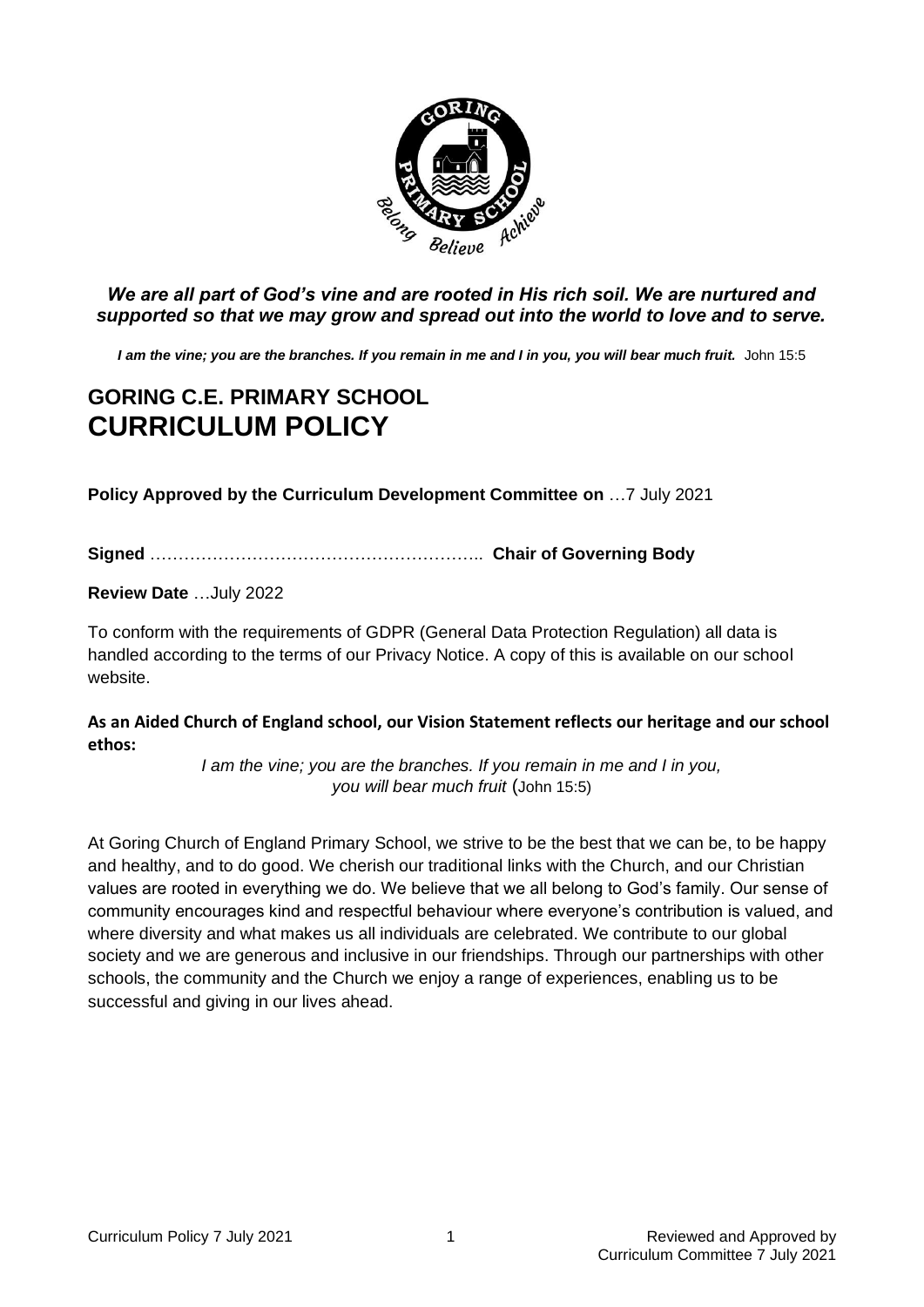

## *We are all part of God's vine and are rooted in His rich soil. We are nurtured and supported so that we may grow and spread out into the world to love and to serve.*

*I am the vine; you are the branches. If you remain in me and I in you, you will bear much fruit.* John 15:5

# **GORING C.E. PRIMARY SCHOOL CURRICULUM POLICY**

**Policy Approved by the Curriculum Development Committee on** …7 July 2021

**Signed** ………………………………………………….. **Chair of Governing Body**

**Review Date** …July 2022

To conform with the requirements of GDPR (General Data Protection Regulation) all data is handled according to the terms of our Privacy Notice. A copy of this is available on our school website.

#### **As an Aided Church of England school, our Vision Statement reflects our heritage and our school ethos:**

*I am the vine; you are the branches. If you remain in me and I in you, you will bear much fruit* (John 15:5)

At Goring Church of England Primary School, we strive to be the best that we can be, to be happy and healthy, and to do good. We cherish our traditional links with the Church, and our Christian values are rooted in everything we do. We believe that we all belong to God's family. Our sense of community encourages kind and respectful behaviour where everyone's contribution is valued, and where diversity and what makes us all individuals are celebrated. We contribute to our global society and we are generous and inclusive in our friendships. Through our partnerships with other schools, the community and the Church we enjoy a range of experiences, enabling us to be successful and giving in our lives ahead.